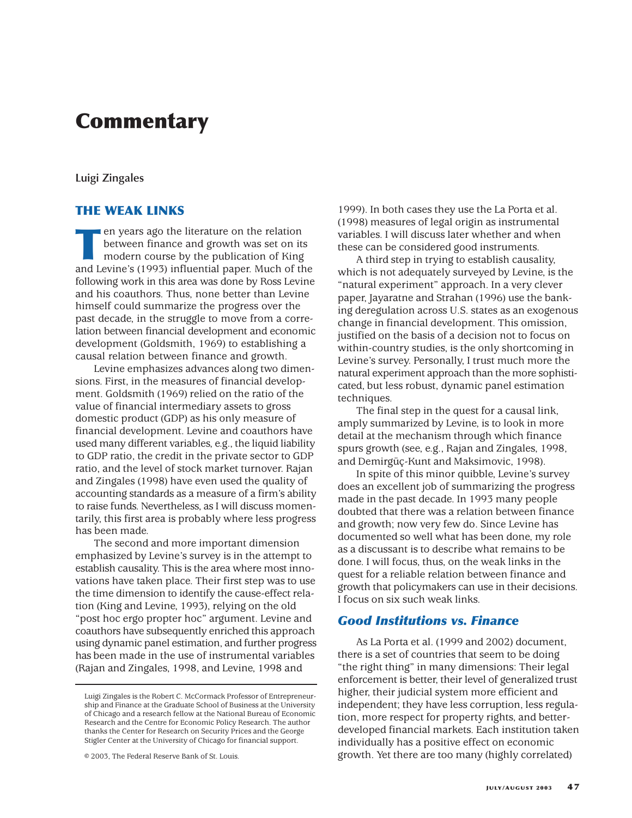# **Commentary**

### **Luigi Zingales**

# **THE WEAK LINKS**

**The Life State State State State State State State State State State State State State State State State State State State State State State State State State State State State State State State State State State State St** between finance and growth was set on its modern course by the publication of King and Levine's (1993) influential paper. Much of the following work in this area was done by Ross Levine and his coauthors. Thus, none better than Levine himself could summarize the progress over the past decade, in the struggle to move from a correlation between financial development and economic development (Goldsmith, 1969) to establishing a causal relation between finance and growth.

Levine emphasizes advances along two dimensions. First, in the measures of financial development. Goldsmith (1969) relied on the ratio of the value of financial intermediary assets to gross domestic product (GDP) as his only measure of financial development. Levine and coauthors have used many different variables, e.g., the liquid liability to GDP ratio, the credit in the private sector to GDP ratio, and the level of stock market turnover. Rajan and Zingales (1998) have even used the quality of accounting standards as a measure of a firm's ability to raise funds. Nevertheless, as I will discuss momentarily, this first area is probably where less progress has been made.

The second and more important dimension emphasized by Levine's survey is in the attempt to establish causality. This is the area where most innovations have taken place. Their first step was to use the time dimension to identify the cause-effect relation (King and Levine, 1993), relying on the old "post hoc ergo propter hoc" argument. Levine and coauthors have subsequently enriched this approach using dynamic panel estimation, and further progress has been made in the use of instrumental variables (Rajan and Zingales, 1998, and Levine, 1998 and

© 2003, The Federal Reserve Bank of St. Louis.

1999). In both cases they use the La Porta et al. (1998) measures of legal origin as instrumental variables. I will discuss later whether and when these can be considered good instruments.

A third step in trying to establish causality, which is not adequately surveyed by Levine, is the "natural experiment" approach. In a very clever paper, Jayaratne and Strahan (1996) use the banking deregulation across U.S. states as an exogenous change in financial development. This omission, justified on the basis of a decision not to focus on within-country studies, is the only shortcoming in Levine's survey. Personally, I trust much more the natural experiment approach than the more sophisticated, but less robust, dynamic panel estimation techniques.

The final step in the quest for a causal link, amply summarized by Levine, is to look in more detail at the mechanism through which finance spurs growth (see, e.g., Rajan and Zingales, 1998, and Demirgüç-Kunt and Maksimovic, 1998).

In spite of this minor quibble, Levine's survey does an excellent job of summarizing the progress made in the past decade. In 1993 many people doubted that there was a relation between finance and growth; now very few do. Since Levine has documented so well what has been done, my role as a discussant is to describe what remains to be done. I will focus, thus, on the weak links in the quest for a reliable relation between finance and growth that policymakers can use in their decisions. I focus on six such weak links.

# *Good Institutions vs. Finance*

As La Porta et al. (1999 and 2002) document, there is a set of countries that seem to be doing "the right thing" in many dimensions: Their legal enforcement is better, their level of generalized trust higher, their judicial system more efficient and independent; they have less corruption, less regulation, more respect for property rights, and betterdeveloped financial markets. Each institution taken individually has a positive effect on economic growth. Yet there are too many (highly correlated)

Luigi Zingales is the Robert C. McCormack Professor of Entrepreneurship and Finance at the Graduate School of Business at the University of Chicago and a research fellow at the National Bureau of Economic Research and the Centre for Economic Policy Research. The author thanks the Center for Research on Security Prices and the George Stigler Center at the University of Chicago for financial support.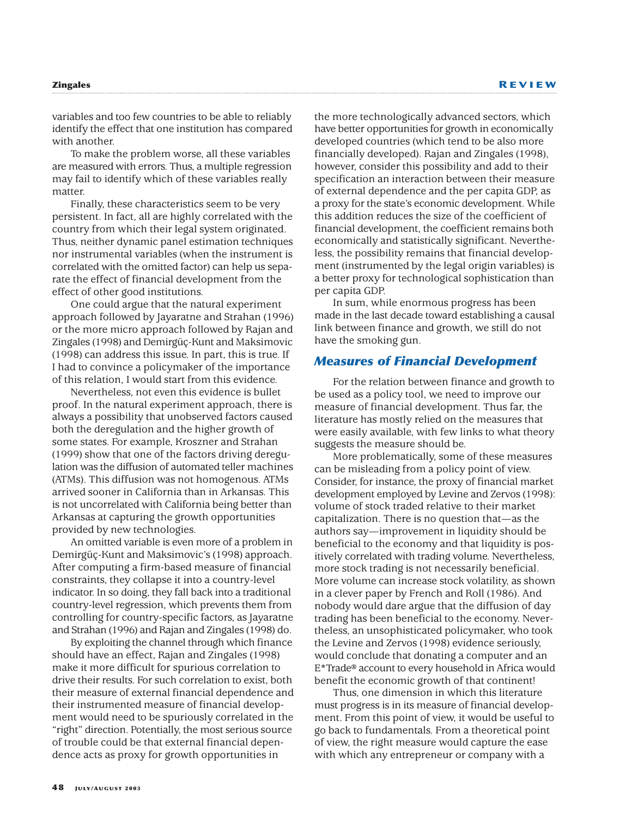variables and too few countries to be able to reliably identify the effect that one institution has compared with another.

To make the problem worse, all these variables are measured with errors. Thus, a multiple regression may fail to identify which of these variables really matter.

Finally, these characteristics seem to be very persistent. In fact, all are highly correlated with the country from which their legal system originated. Thus, neither dynamic panel estimation techniques nor instrumental variables (when the instrument is correlated with the omitted factor) can help us separate the effect of financial development from the effect of other good institutions.

One could argue that the natural experiment approach followed by Jayaratne and Strahan (1996) or the more micro approach followed by Rajan and Zingales (1998) and Demirgüç-Kunt and Maksimovic (1998) can address this issue. In part, this is true. If I had to convince a policymaker of the importance of this relation, I would start from this evidence.

Nevertheless, not even this evidence is bullet proof. In the natural experiment approach, there is always a possibility that unobserved factors caused both the deregulation and the higher growth of some states. For example, Kroszner and Strahan (1999) show that one of the factors driving deregulation was the diffusion of automated teller machines (ATMs). This diffusion was not homogenous. ATMs arrived sooner in California than in Arkansas. This is not uncorrelated with California being better than Arkansas at capturing the growth opportunities provided by new technologies.

An omitted variable is even more of a problem in Demirgüç-Kunt and Maksimovic's (1998) approach. After computing a firm-based measure of financial constraints, they collapse it into a country-level indicator. In so doing, they fall back into a traditional country-level regression, which prevents them from controlling for country-specific factors, as Jayaratne and Strahan (1996) and Rajan and Zingales (1998) do.

By exploiting the channel through which finance should have an effect, Rajan and Zingales (1998) make it more difficult for spurious correlation to drive their results. For such correlation to exist, both their measure of external financial dependence and their instrumented measure of financial development would need to be spuriously correlated in the "right" direction. Potentially, the most serious source of trouble could be that external financial dependence acts as proxy for growth opportunities in

the more technologically advanced sectors, which have better opportunities for growth in economically developed countries (which tend to be also more financially developed). Rajan and Zingales (1998), however, consider this possibility and add to their specification an interaction between their measure of external dependence and the per capita GDP, as a proxy for the state's economic development. While this addition reduces the size of the coefficient of financial development, the coefficient remains both economically and statistically significant. Nevertheless, the possibility remains that financial development (instrumented by the legal origin variables) is a better proxy for technological sophistication than per capita GDP.

In sum, while enormous progress has been made in the last decade toward establishing a causal link between finance and growth, we still do not have the smoking gun.

### *Measures of Financial Development*

For the relation between finance and growth to be used as a policy tool, we need to improve our measure of financial development. Thus far, the literature has mostly relied on the measures that were easily available, with few links to what theory suggests the measure should be.

More problematically, some of these measures can be misleading from a policy point of view. Consider, for instance, the proxy of financial market development employed by Levine and Zervos (1998): volume of stock traded relative to their market capitalization. There is no question that—as the authors say—improvement in liquidity should be beneficial to the economy and that liquidity is positively correlated with trading volume. Nevertheless, more stock trading is not necessarily beneficial. More volume can increase stock volatility, as shown in a clever paper by French and Roll (1986). And nobody would dare argue that the diffusion of day trading has been beneficial to the economy. Nevertheless, an unsophisticated policymaker, who took the Levine and Zervos (1998) evidence seriously, would conclude that donating a computer and an E\*Trade® account to every household in Africa would benefit the economic growth of that continent!

Thus, one dimension in which this literature must progress is in its measure of financial development. From this point of view, it would be useful to go back to fundamentals. From a theoretical point of view, the right measure would capture the ease with which any entrepreneur or company with a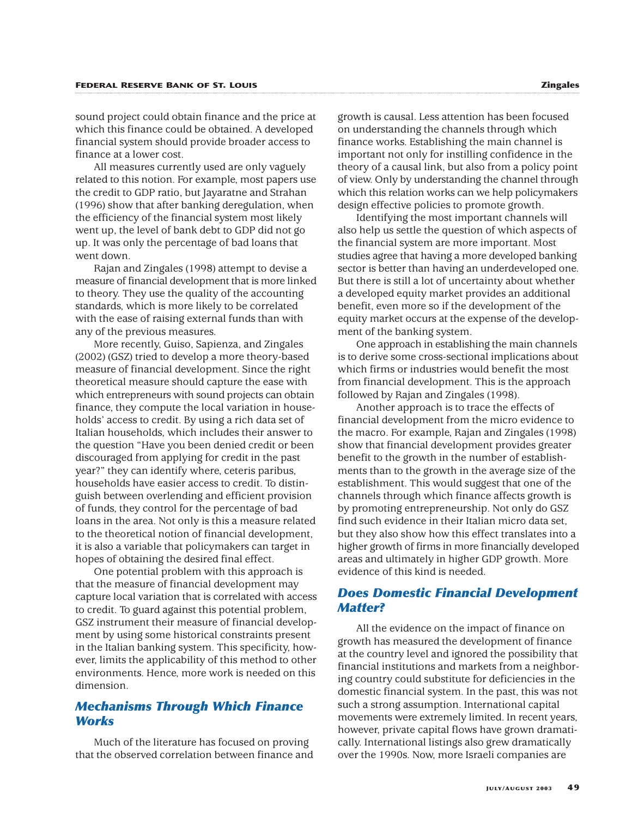sound project could obtain finance and the price at which this finance could be obtained. A developed financial system should provide broader access to finance at a lower cost.

All measures currently used are only vaguely related to this notion. For example, most papers use the credit to GDP ratio, but Jayaratne and Strahan (1996) show that after banking deregulation, when the efficiency of the financial system most likely went up, the level of bank debt to GDP did not go up. It was only the percentage of bad loans that went down.

Rajan and Zingales (1998) attempt to devise a measure of financial development that is more linked to theory. They use the quality of the accounting standards, which is more likely to be correlated with the ease of raising external funds than with any of the previous measures.

More recently, Guiso, Sapienza, and Zingales (2002) (GSZ) tried to develop a more theory-based measure of financial development. Since the right theoretical measure should capture the ease with which entrepreneurs with sound projects can obtain finance, they compute the local variation in households' access to credit. By using a rich data set of Italian households, which includes their answer to the question "Have you been denied credit or been discouraged from applying for credit in the past year?" they can identify where, ceteris paribus, households have easier access to credit. To distinguish between overlending and efficient provision of funds, they control for the percentage of bad loans in the area. Not only is this a measure related to the theoretical notion of financial development, it is also a variable that policymakers can target in hopes of obtaining the desired final effect.

One potential problem with this approach is that the measure of financial development may capture local variation that is correlated with access to credit. To guard against this potential problem, GSZ instrument their measure of financial development by using some historical constraints present in the Italian banking system. This specificity, however, limits the applicability of this method to other environments. Hence, more work is needed on this dimension.

# *Mechanisms Through Which Finance Works*

Much of the literature has focused on proving that the observed correlation between finance and

growth is causal. Less attention has been focused on understanding the channels through which finance works. Establishing the main channel is important not only for instilling confidence in the theory of a causal link, but also from a policy point of view. Only by understanding the channel through which this relation works can we help policymakers design effective policies to promote growth.

Identifying the most important channels will also help us settle the question of which aspects of the financial system are more important. Most studies agree that having a more developed banking sector is better than having an underdeveloped one. But there is still a lot of uncertainty about whether a developed equity market provides an additional benefit, even more so if the development of the equity market occurs at the expense of the development of the banking system.

One approach in establishing the main channels is to derive some cross-sectional implications about which firms or industries would benefit the most from financial development. This is the approach followed by Rajan and Zingales (1998).

Another approach is to trace the effects of financial development from the micro evidence to the macro. For example, Rajan and Zingales (1998) show that financial development provides greater benefit to the growth in the number of establishments than to the growth in the average size of the establishment. This would suggest that one of the channels through which finance affects growth is by promoting entrepreneurship. Not only do GSZ find such evidence in their Italian micro data set, but they also show how this effect translates into a higher growth of firms in more financially developed areas and ultimately in higher GDP growth. More evidence of this kind is needed.

# *Does Domestic Financial Development Matter?*

All the evidence on the impact of finance on growth has measured the development of finance at the country level and ignored the possibility that financial institutions and markets from a neighboring country could substitute for deficiencies in the domestic financial system. In the past, this was not such a strong assumption. International capital movements were extremely limited. In recent years, however, private capital flows have grown dramatically. International listings also grew dramatically over the 1990s. Now, more Israeli companies are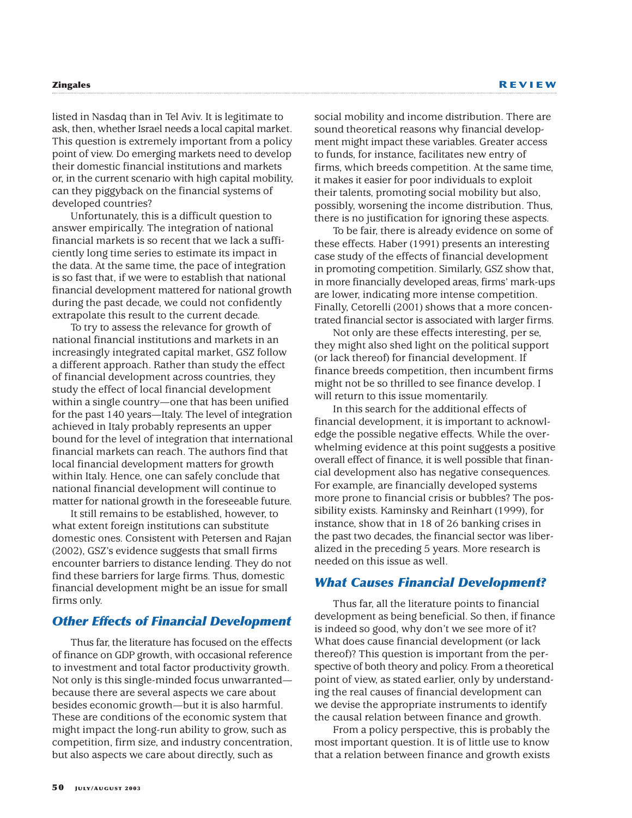listed in Nasdaq than in Tel Aviv. It is legitimate to ask, then, whether Israel needs a local capital market. This question is extremely important from a policy point of view. Do emerging markets need to develop their domestic financial institutions and markets or, in the current scenario with high capital mobility, can they piggyback on the financial systems of developed countries?

Unfortunately, this is a difficult question to answer empirically. The integration of national financial markets is so recent that we lack a sufficiently long time series to estimate its impact in the data. At the same time, the pace of integration is so fast that, if we were to establish that national financial development mattered for national growth during the past decade, we could not confidently extrapolate this result to the current decade.

To try to assess the relevance for growth of national financial institutions and markets in an increasingly integrated capital market, GSZ follow a different approach. Rather than study the effect of financial development across countries, they study the effect of local financial development within a single country—one that has been unified for the past 140 years—Italy. The level of integration achieved in Italy probably represents an upper bound for the level of integration that international financial markets can reach. The authors find that local financial development matters for growth within Italy. Hence, one can safely conclude that national financial development will continue to matter for national growth in the foreseeable future.

It still remains to be established, however, to what extent foreign institutions can substitute domestic ones. Consistent with Petersen and Rajan (2002), GSZ's evidence suggests that small firms encounter barriers to distance lending. They do not find these barriers for large firms. Thus, domestic financial development might be an issue for small firms only.

# *Other Effects of Financial Development*

Thus far, the literature has focused on the effects of finance on GDP growth, with occasional reference to investment and total factor productivity growth. Not only is this single-minded focus unwarranted because there are several aspects we care about besides economic growth—but it is also harmful. These are conditions of the economic system that might impact the long-run ability to grow, such as competition, firm size, and industry concentration, but also aspects we care about directly, such as

social mobility and income distribution. There are sound theoretical reasons why financial development might impact these variables. Greater access to funds, for instance, facilitates new entry of firms, which breeds competition. At the same time, it makes it easier for poor individuals to exploit their talents, promoting social mobility but also, possibly, worsening the income distribution. Thus, there is no justification for ignoring these aspects.

To be fair, there is already evidence on some of these effects. Haber (1991) presents an interesting case study of the effects of financial development in promoting competition. Similarly, GSZ show that, in more financially developed areas, firms' mark-ups are lower, indicating more intense competition. Finally, Cetorelli (2001) shows that a more concentrated financial sector is associated with larger firms.

Not only are these effects interesting, per se, they might also shed light on the political support (or lack thereof) for financial development. If finance breeds competition, then incumbent firms might not be so thrilled to see finance develop. I will return to this issue momentarily.

In this search for the additional effects of financial development, it is important to acknowledge the possible negative effects. While the overwhelming evidence at this point suggests a positive overall effect of finance, it is well possible that financial development also has negative consequences. For example, are financially developed systems more prone to financial crisis or bubbles? The possibility exists. Kaminsky and Reinhart (1999), for instance, show that in 18 of 26 banking crises in the past two decades, the financial sector was liberalized in the preceding 5 years. More research is needed on this issue as well.

#### *What Causes Financial Development?*

Thus far, all the literature points to financial development as being beneficial. So then, if finance is indeed so good, why don't we see more of it? What does cause financial development (or lack thereof)? This question is important from the perspective of both theory and policy. From a theoretical point of view, as stated earlier, only by understanding the real causes of financial development can we devise the appropriate instruments to identify the causal relation between finance and growth.

From a policy perspective, this is probably the most important question. It is of little use to know that a relation between finance and growth exists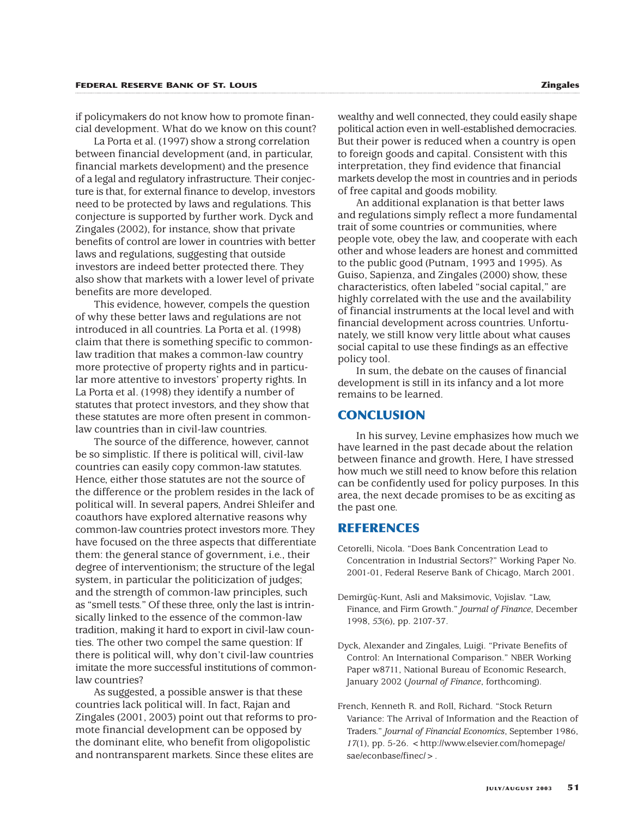if policymakers do not know how to promote financial development. What do we know on this count?

La Porta et al. (1997) show a strong correlation between financial development (and, in particular, financial markets development) and the presence of a legal and regulatory infrastructure. Their conjecture is that, for external finance to develop, investors need to be protected by laws and regulations. This conjecture is supported by further work. Dyck and Zingales (2002), for instance, show that private benefits of control are lower in countries with better laws and regulations, suggesting that outside investors are indeed better protected there. They also show that markets with a lower level of private benefits are more developed.

This evidence, however, compels the question of why these better laws and regulations are not introduced in all countries. La Porta et al. (1998) claim that there is something specific to commonlaw tradition that makes a common-law country more protective of property rights and in particular more attentive to investors' property rights. In La Porta et al. (1998) they identify a number of statutes that protect investors, and they show that these statutes are more often present in commonlaw countries than in civil-law countries.

The source of the difference, however, cannot be so simplistic. If there is political will, civil-law countries can easily copy common-law statutes. Hence, either those statutes are not the source of the difference or the problem resides in the lack of political will. In several papers, Andrei Shleifer and coauthors have explored alternative reasons why common-law countries protect investors more. They have focused on the three aspects that differentiate them: the general stance of government, i.e., their degree of interventionism; the structure of the legal system, in particular the politicization of judges; and the strength of common-law principles, such as "smell tests." Of these three, only the last is intrinsically linked to the essence of the common-law tradition, making it hard to export in civil-law counties. The other two compel the same question: If there is political will, why don't civil-law countries imitate the more successful institutions of commonlaw countries?

As suggested, a possible answer is that these countries lack political will. In fact, Rajan and Zingales (2001, 2003) point out that reforms to promote financial development can be opposed by the dominant elite, who benefit from oligopolistic and nontransparent markets. Since these elites are

wealthy and well connected, they could easily shape political action even in well-established democracies. But their power is reduced when a country is open to foreign goods and capital. Consistent with this interpretation, they find evidence that financial markets develop the most in countries and in periods of free capital and goods mobility.

An additional explanation is that better laws and regulations simply reflect a more fundamental trait of some countries or communities, where people vote, obey the law, and cooperate with each other and whose leaders are honest and committed to the public good (Putnam, 1993 and 1995). As Guiso, Sapienza, and Zingales (2000) show, these characteristics, often labeled "social capital," are highly correlated with the use and the availability of financial instruments at the local level and with financial development across countries. Unfortunately, we still know very little about what causes social capital to use these findings as an effective policy tool.

In sum, the debate on the causes of financial development is still in its infancy and a lot more remains to be learned.

# **CONCLUSION**

In his survey, Levine emphasizes how much we have learned in the past decade about the relation between finance and growth. Here, I have stressed how much we still need to know before this relation can be confidently used for policy purposes. In this area, the next decade promises to be as exciting as the past one.

# **REFERENCES**

- Cetorelli, Nicola. "Does Bank Concentration Lead to Concentration in Industrial Sectors?" Working Paper No. 2001-01, Federal Reserve Bank of Chicago, March 2001.
- Demirgüç-Kunt, Asli and Maksimovic, Vojislav. "Law, Finance, and Firm Growth." *Journal of Finance*, December 1998, *53*(6), pp. 2107-37.
- Dyck, Alexander and Zingales, Luigi. "Private Benefits of Control: An International Comparison." NBER Working Paper w8711, National Bureau of Economic Research, January 2002 ( *Journal of Finance*, forthcoming).
- French, Kenneth R. and Roll, Richard. "Stock Return Variance: The Arrival of Information and the Reaction of Traders." *Journal of Financial Economics*, September 1986, 17(1), pp. 5-26. < http://www.elsevier.com/homepage/ sae/econbase/finec/>.